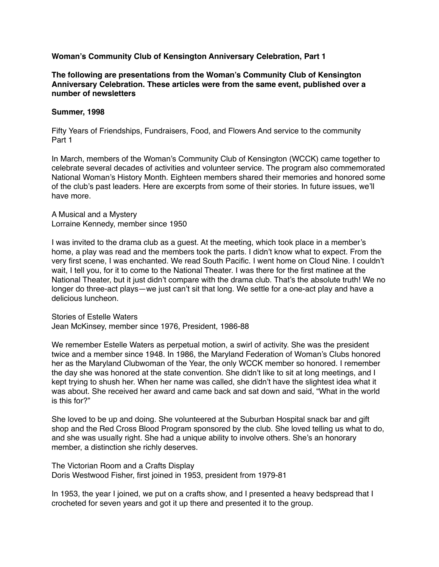**Woman's Community Club of Kensington Anniversary Celebration, Part 1**

**The following are presentations from the Woman's Community Club of Kensington Anniversary Celebration. These articles were from the same event, published over a number of newsletters**

## **Summer, 1998**

Fifty Years of Friendships, Fundraisers, Food, and Flowers And service to the community Part 1

In March, members of the Woman's Community Club of Kensington (WCCK) came together to celebrate several decades of activities and volunteer service. The program also commemorated National Woman's History Month. Eighteen members shared their memories and honored some of the club's past leaders. Here are excerpts from some of their stories. In future issues, we'll have more.

A Musical and a Mystery Lorraine Kennedy, member since 1950

I was invited to the drama club as a guest. At the meeting, which took place in a member's home, a play was read and the members took the parts. I didn't know what to expect. From the very first scene, I was enchanted. We read South Pacific. I went home on Cloud Nine. I couldn't wait, I tell you, for it to come to the National Theater. I was there for the first matinee at the National Theater, but it just didn't compare with the drama club. That's the absolute truth! We no longer do three-act plays—we just can't sit that long. We settle for a one-act play and have a delicious luncheon.

Stories of Estelle Waters Jean McKinsey, member since 1976, President, 1986-88

We remember Estelle Waters as perpetual motion, a swirl of activity. She was the president twice and a member since 1948. In 1986, the Maryland Federation of Woman's Clubs honored her as the Maryland Clubwoman of the Year, the only WCCK member so honored. I remember the day she was honored at the state convention. She didn't like to sit at long meetings, and I kept trying to shush her. When her name was called, she didn't have the slightest idea what it was about. She received her award and came back and sat down and said, "What in the world is this for?"

She loved to be up and doing. She volunteered at the Suburban Hospital snack bar and gift shop and the Red Cross Blood Program sponsored by the club. She loved telling us what to do, and she was usually right. She had a unique ability to involve others. She's an honorary member, a distinction she richly deserves.

The Victorian Room and a Crafts Display Doris Westwood Fisher, first joined in 1953, president from 1979-81

In 1953, the year I joined, we put on a crafts show, and I presented a heavy bedspread that I crocheted for seven years and got it up there and presented it to the group.